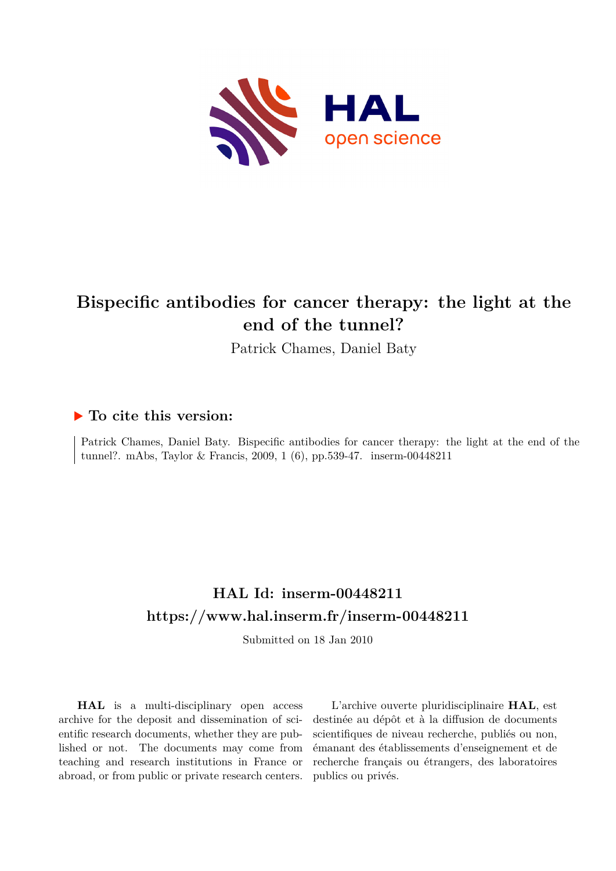

# **Bispecific antibodies for cancer therapy: the light at the end of the tunnel?**

Patrick Chames, Daniel Baty

# **To cite this version:**

Patrick Chames, Daniel Baty. Bispecific antibodies for cancer therapy: the light at the end of the tunnel?. mAbs, Taylor & Francis, 2009, 1 (6), pp.539-47. inserm-00448211

# **HAL Id: inserm-00448211 <https://www.hal.inserm.fr/inserm-00448211>**

Submitted on 18 Jan 2010

**HAL** is a multi-disciplinary open access archive for the deposit and dissemination of scientific research documents, whether they are published or not. The documents may come from teaching and research institutions in France or abroad, or from public or private research centers.

L'archive ouverte pluridisciplinaire **HAL**, est destinée au dépôt et à la diffusion de documents scientifiques de niveau recherche, publiés ou non, émanant des établissements d'enseignement et de recherche français ou étrangers, des laboratoires publics ou privés.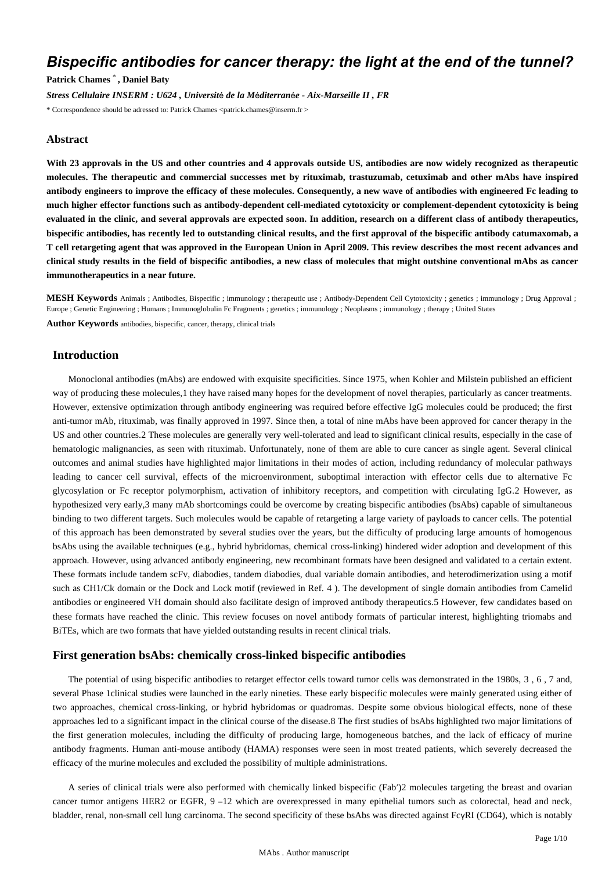# *Bispecific antibodies for cancer therapy: the light at the end of the tunnel?*

**Patrick Chames** \* **, Daniel Baty**

*Stress Cellulaire INSERM : U624 , Universit*é *de la M*é*diterran*é*e - Aix-Marseille II , FR*

\* Correspondence should be adressed to: Patrick Chames <patrick.chames@inserm.fr >

# **Abstract**

**With 23 approvals in the US and other countries and 4 approvals outside US, antibodies are now widely recognized as therapeutic molecules. The therapeutic and commercial successes met by rituximab, trastuzumab, cetuximab and other mAbs have inspired antibody engineers to improve the efficacy of these molecules. Consequently, a new wave of antibodies with engineered Fc leading to much higher effector functions such as antibody-dependent cell-mediated cytotoxicity or complement-dependent cytotoxicity is being evaluated in the clinic, and several approvals are expected soon. In addition, research on a different class of antibody therapeutics, bispecific antibodies, has recently led to outstanding clinical results, and the first approval of the bispecific antibody catumaxomab, a T cell retargeting agent that was approved in the European Union in April 2009. This review describes the most recent advances and clinical study results in the field of bispecific antibodies, a new class of molecules that might outshine conventional mAbs as cancer immunotherapeutics in a near future.**

**MESH Keywords** Animals ; Antibodies, Bispecific ; immunology ; therapeutic use ; Antibody-Dependent Cell Cytotoxicity ; genetics ; immunology ; Drug Approval ; Europe ; Genetic Engineering ; Humans ; Immunoglobulin Fc Fragments ; genetics ; immunology ; Neoplasms ; immunology ; therapy ; United States **Author Keywords** antibodies, bispecific, cancer, therapy, clinical trials

# **Introduction**

Monoclonal antibodies (mAbs) are endowed with exquisite specificities. Since 1975, when Kohler and Milstein published an efficient way of producing these molecules,1 they have raised many hopes for the development of novel therapies, particularly as cancer treatments. However, extensive optimization through antibody engineering was required before effective IgG molecules could be produced; the first anti-tumor mAb, rituximab, was finally approved in 1997. Since then, a total of nine mAbs have been approved for cancer therapy in the US and other countries.2 These molecules are generally very well-tolerated and lead to significant clinical results, especially in the case of hematologic malignancies, as seen with rituximab. Unfortunately, none of them are able to cure cancer as single agent. Several clinical outcomes and animal studies have highlighted major limitations in their modes of action, including redundancy of molecular pathways leading to cancer cell survival, effects of the microenvironment, suboptimal interaction with effector cells due to alternative Fc glycosylation or Fc receptor polymorphism, activation of inhibitory receptors, and competition with circulating IgG.2 However, as hypothesized very early,3 many mAb shortcomings could be overcome by creating bispecific antibodies (bsAbs) capable of simultaneous binding to two different targets. Such molecules would be capable of retargeting a large variety of payloads to cancer cells. The potential of this approach has been demonstrated by several studies over the years, but the difficulty of producing large amounts of homogenous bsAbs using the available techniques (e.g., hybrid hybridomas, chemical cross-linking) hindered wider adoption and development of this approach. However, using advanced antibody engineering, new recombinant formats have been designed and validated to a certain extent. These formats include tandem scFv, diabodies, tandem diabodies, dual variable domain antibodies, and heterodimerization using a motif such as CH1/Ck domain or the Dock and Lock motif (reviewed in Ref. 4 ). The development of single domain antibodies from Camelid antibodies or engineered VH domain should also facilitate design of improved antibody therapeutics.5 However, few candidates based on these formats have reached the clinic. This review focuses on novel antibody formats of particular interest, highlighting triomabs and BiTEs, which are two formats that have yielded outstanding results in recent clinical trials.

## **First generation bsAbs: chemically cross-linked bispecific antibodies**

The potential of using bispecific antibodies to retarget effector cells toward tumor cells was demonstrated in the 1980s, 3 , 6 , 7 and, several Phase 1clinical studies were launched in the early nineties. These early bispecific molecules were mainly generated using either of two approaches, chemical cross-linking, or hybrid hybridomas or quadromas. Despite some obvious biological effects, none of these approaches led to a significant impact in the clinical course of the disease.8 The first studies of bsAbs highlighted two major limitations of the first generation molecules, including the difficulty of producing large, homogeneous batches, and the lack of efficacy of murine antibody fragments. Human anti-mouse antibody (HAMA) responses were seen in most treated patients, which severely decreased the efficacy of the murine molecules and excluded the possibility of multiple administrations.

A series of clinical trials were also performed with chemically linked bispecific (Fab′)2 molecules targeting the breast and ovarian cancer tumor antigens HER2 or EGFR, 9 –12 which are overexpressed in many epithelial tumors such as colorectal, head and neck, bladder, renal, non-small cell lung carcinoma. The second specificity of these bsAbs was directed against FcγRI (CD64), which is notably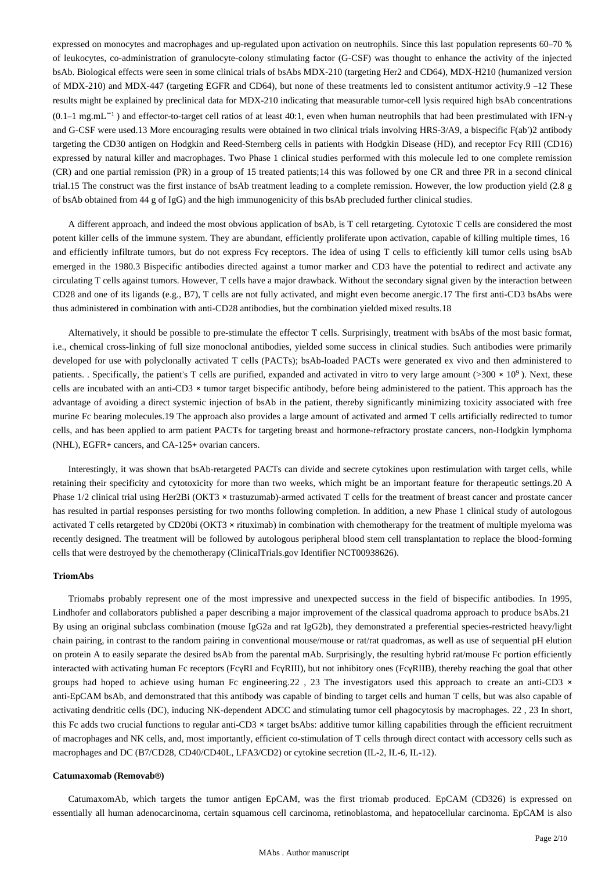expressed on monocytes and macrophages and up-regulated upon activation on neutrophils. Since this last population represents 60–70 % of leukocytes, co-administration of granulocyte-colony stimulating factor (G-CSF) was thought to enhance the activity of the injected bsAb. Biological effects were seen in some clinical trials of bsAbs MDX-210 (targeting Her2 and CD64), MDX-H210 (humanized version of MDX-210) and MDX-447 (targeting EGFR and CD64), but none of these treatments led to consistent antitumor activity.9 –12 These results might be explained by preclinical data for MDX-210 indicating that measurable tumor-cell lysis required high bsAb concentrations  $(0.1-1 \text{ mg.mL}^{-1})$  and effector-to-target cell ratios of at least 40:1, even when human neutrophils that had been prestimulated with IFN- $\gamma$ and G-CSF were used.13 More encouraging results were obtained in two clinical trials involving HRS-3/A9, a bispecific F(ab′)2 antibody targeting the CD30 antigen on Hodgkin and Reed-Sternberg cells in patients with Hodgkin Disease (HD), and receptor Fcγ RIII (CD16) expressed by natural killer and macrophages. Two Phase 1 clinical studies performed with this molecule led to one complete remission (CR) and one partial remission (PR) in a group of 15 treated patients;14 this was followed by one CR and three PR in a second clinical trial.15 The construct was the first instance of bsAb treatment leading to a complete remission. However, the low production yield (2.8 g of bsAb obtained from 44 g of IgG) and the high immunogenicity of this bsAb precluded further clinical studies.

A different approach, and indeed the most obvious application of bsAb, is T cell retargeting. Cytotoxic T cells are considered the most potent killer cells of the immune system. They are abundant, efficiently proliferate upon activation, capable of killing multiple times, 16 and efficiently infiltrate tumors, but do not express Fcy receptors. The idea of using T cells to efficiently kill tumor cells using bsAb emerged in the 1980.3 Bispecific antibodies directed against a tumor marker and CD3 have the potential to redirect and activate any circulating T cells against tumors. However, T cells have a major drawback. Without the secondary signal given by the interaction between CD28 and one of its ligands (e.g., B7), T cells are not fully activated, and might even become anergic.17 The first anti-CD3 bsAbs were thus administered in combination with anti-CD28 antibodies, but the combination yielded mixed results.18

Alternatively, it should be possible to pre-stimulate the effector T cells. Surprisingly, treatment with bsAbs of the most basic format, i.e., chemical cross-linking of full size monoclonal antibodies, yielded some success in clinical studies. Such antibodies were primarily developed for use with polyclonally activated T cells (PACTs); bsAb-loaded PACTs were generated ex vivo and then administered to patients. . Specifically, the patient's T cells are purified, expanded and activated in vitro to very large amount ( $>300 \times 10^9$ ). Next, these cells are incubated with an anti-CD3 × tumor target bispecific antibody, before being administered to the patient. This approach has the advantage of avoiding a direct systemic injection of bsAb in the patient, thereby significantly minimizing toxicity associated with free murine Fc bearing molecules.19 The approach also provides a large amount of activated and armed T cells artificially redirected to tumor cells, and has been applied to arm patient PACTs for targeting breast and hormone-refractory prostate cancers, non-Hodgkin lymphoma (NHL), EGFR+ cancers, and CA-125+ ovarian cancers.

Interestingly, it was shown that bsAb-retargeted PACTs can divide and secrete cytokines upon restimulation with target cells, while retaining their specificity and cytotoxicity for more than two weeks, which might be an important feature for therapeutic settings.20 A Phase  $1/2$  clinical trial using Her2Bi (OKT3 × trastuzumab)-armed activated T cells for the treatment of breast cancer and prostate cancer has resulted in partial responses persisting for two months following completion. In addition, a new Phase 1 clinical study of autologous activated T cells retargeted by CD20bi (OKT3 × rituximab) in combination with chemotherapy for the treatment of multiple myeloma was recently designed. The treatment will be followed by autologous peripheral blood stem cell transplantation to replace the blood-forming cells that were destroyed by the chemotherapy (ClinicalTrials.gov Identifier NCT00938626).

#### **TriomAbs**

Triomabs probably represent one of the most impressive and unexpected success in the field of bispecific antibodies. In 1995, Lindhofer and collaborators published a paper describing a major improvement of the classical quadroma approach to produce bsAbs.21 By using an original subclass combination (mouse IgG2a and rat IgG2b), they demonstrated a preferential species-restricted heavy/light chain pairing, in contrast to the random pairing in conventional mouse/mouse or rat/rat quadromas, as well as use of sequential pH elution on protein A to easily separate the desired bsAb from the parental mAb. Surprisingly, the resulting hybrid rat/mouse Fc portion efficiently interacted with activating human Fc receptors (FcγRI and FcγRIII), but not inhibitory ones (FcγRIIB), thereby reaching the goal that other groups had hoped to achieve using human Fc engineering.22, 23 The investigators used this approach to create an anti-CD3  $\times$ anti-EpCAM bsAb, and demonstrated that this antibody was capable of binding to target cells and human T cells, but was also capable of activating dendritic cells (DC), inducing NK-dependent ADCC and stimulating tumor cell phagocytosis by macrophages. 22 , 23 In short, this Fc adds two crucial functions to regular anti-CD3 × target bsAbs: additive tumor killing capabilities through the efficient recruitment of macrophages and NK cells, and, most importantly, efficient co-stimulation of T cells through direct contact with accessory cells such as macrophages and DC (B7/CD28, CD40/CD40L, LFA3/CD2) or cytokine secretion (IL-2, IL-6, IL-12).

#### **Catumaxomab (Removab**®**)**

CatumaxomAb, which targets the tumor antigen EpCAM, was the first triomab produced. EpCAM (CD326) is expressed on essentially all human adenocarcinoma, certain squamous cell carcinoma, retinoblastoma, and hepatocellular carcinoma. EpCAM is also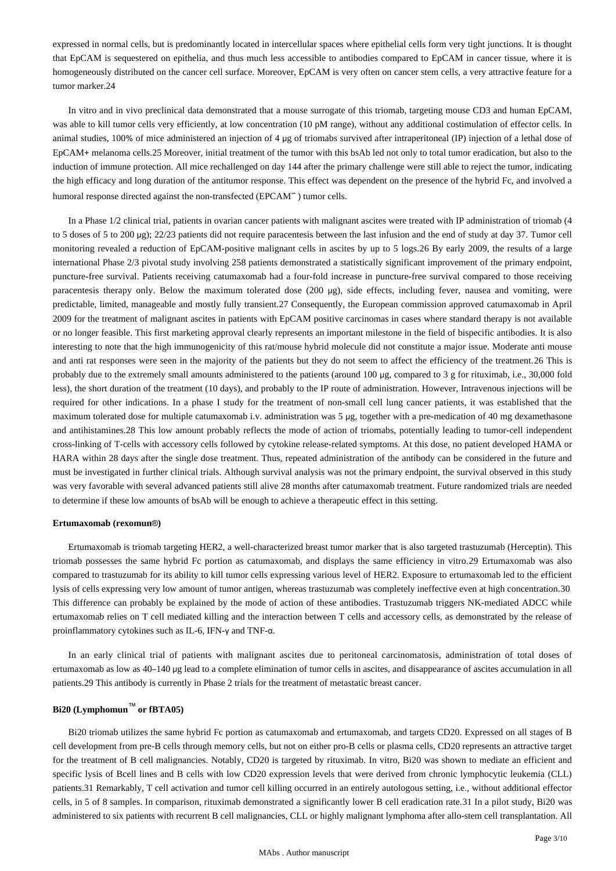expressed in normal cells, but is predominantly located in intercellular spaces where epithelial cells form very tight junctions. It is thought that EpCAM is sequestered on epithelia, and thus much less accessible to antibodies compared to EpCAM in cancer tissue, where it is homogeneously distributed on the cancer cell surface. Moreover, EpCAM is very often on cancer stem cells, a very attractive feature for a tumor marker.24

In vitro and in vivo preclinical data demonstrated that a mouse surrogate of this triomab, targeting mouse CD3 and human EpCAM, was able to kill tumor cells very efficiently, at low concentration (10 pM range), without any additional costimulation of effector cells. In animal studies, 100% of mice administered an injection of 4 μg of triomabs survived after intraperitoneal (IP) injection of a lethal dose of EpCAM+ melanoma cells.25 Moreover, initial treatment of the tumor with this bsAb led not only to total tumor eradication, but also to the induction of immune protection. All mice rechallenged on day 144 after the primary challenge were still able to reject the tumor, indicating the high efficacy and long duration of the antitumor response. This effect was dependent on the presence of the hybrid Fc, and involved a humoral response directed against the non-transfected (EPCAM<sup>-</sup>) tumor cells.

In a Phase 1/2 clinical trial, patients in ovarian cancer patients with malignant ascites were treated with IP administration of triomab (4 to 5 doses of 5 to 200 μg); 22/23 patients did not require paracentesis between the last infusion and the end of study at day 37. Tumor cell monitoring revealed a reduction of EpCAM-positive malignant cells in ascites by up to 5 logs.26 By early 2009, the results of a large international Phase 2/3 pivotal study involving 258 patients demonstrated a statistically significant improvement of the primary endpoint, puncture-free survival. Patients receiving catumaxomab had a four-fold increase in puncture-free survival compared to those receiving paracentesis therapy only. Below the maximum tolerated dose (200 μg), side effects, including fever, nausea and vomiting, were predictable, limited, manageable and mostly fully transient.27 Consequently, the European commission approved catumaxomab in April 2009 for the treatment of malignant ascites in patients with EpCAM positive carcinomas in cases where standard therapy is not available or no longer feasible. This first marketing approval clearly represents an important milestone in the field of bispecific antibodies. It is also interesting to note that the high immunogenicity of this rat/mouse hybrid molecule did not constitute a major issue. Moderate anti mouse and anti rat responses were seen in the majority of the patients but they do not seem to affect the efficiency of the treatment.26 This is probably due to the extremely small amounts administered to the patients (around 100 μg, compared to 3 g for rituximab, i.e., 30,000 fold less), the short duration of the treatment (10 days), and probably to the IP route of administration. However, Intravenous injections will be required for other indications. In a phase I study for the treatment of non-small cell lung cancer patients, it was established that the maximum tolerated dose for multiple catumaxomab i.v. administration was 5 μg, together with a pre-medication of 40 mg dexamethasone and antihistamines.28 This low amount probably reflects the mode of action of triomabs, potentially leading to tumor-cell independent cross-linking of T-cells with accessory cells followed by cytokine release-related symptoms. At this dose, no patient developed HAMA or HARA within 28 days after the single dose treatment. Thus, repeated administration of the antibody can be considered in the future and must be investigated in further clinical trials. Although survival analysis was not the primary endpoint, the survival observed in this study was very favorable with several advanced patients still alive 28 months after catumaxomab treatment. Future randomized trials are needed to determine if these low amounts of bsAb will be enough to achieve a therapeutic effect in this setting.

#### **Ertumaxomab (rexomun**®**)**

Ertumaxomab is triomab targeting HER2, a well-characterized breast tumor marker that is also targeted trastuzumab (Herceptin). This triomab possesses the same hybrid Fc portion as catumaxomab, and displays the same efficiency in vitro.29 Ertumaxomab was also compared to trastuzumab for its ability to kill tumor cells expressing various level of HER2. Exposure to ertumaxomab led to the efficient lysis of cells expressing very low amount of tumor antigen, whereas trastuzumab was completely ineffective even at high concentration.30 This difference can probably be explained by the mode of action of these antibodies. Trastuzumab triggers NK-mediated ADCC while ertumaxomab relies on T cell mediated killing and the interaction between T cells and accessory cells, as demonstrated by the release of proinflammatory cytokines such as IL-6, IFN-γ and TNF-α.

In an early clinical trial of patients with malignant ascites due to peritoneal carcinomatosis, administration of total doses of ertumaxomab as low as 40–140 μg lead to a complete elimination of tumor cells in ascites, and disappearance of ascites accumulation in all patients.29 This antibody is currently in Phase 2 trials for the treatment of metastatic breast cancer.

# **Bi20 (Lymphomun**™ **or fBTA05)**

Bi20 triomab utilizes the same hybrid Fc portion as catumaxomab and ertumaxomab, and targets CD20. Expressed on all stages of B cell development from pre-B cells through memory cells, but not on either pro-B cells or plasma cells, CD20 represents an attractive target for the treatment of B cell malignancies. Notably, CD20 is targeted by rituximab. In vitro, Bi20 was shown to mediate an efficient and specific lysis of Bcell lines and B cells with low CD20 expression levels that were derived from chronic lymphocytic leukemia (CLL) patients.31 Remarkably, T cell activation and tumor cell killing occurred in an entirely autologous setting, i.e., without additional effector cells, in 5 of 8 samples. In comparison, rituximab demonstrated a significantly lower B cell eradication rate.31 In a pilot study, Bi20 was administered to six patients with recurrent B cell malignancies, CLL or highly malignant lymphoma after allo-stem cell transplantation. All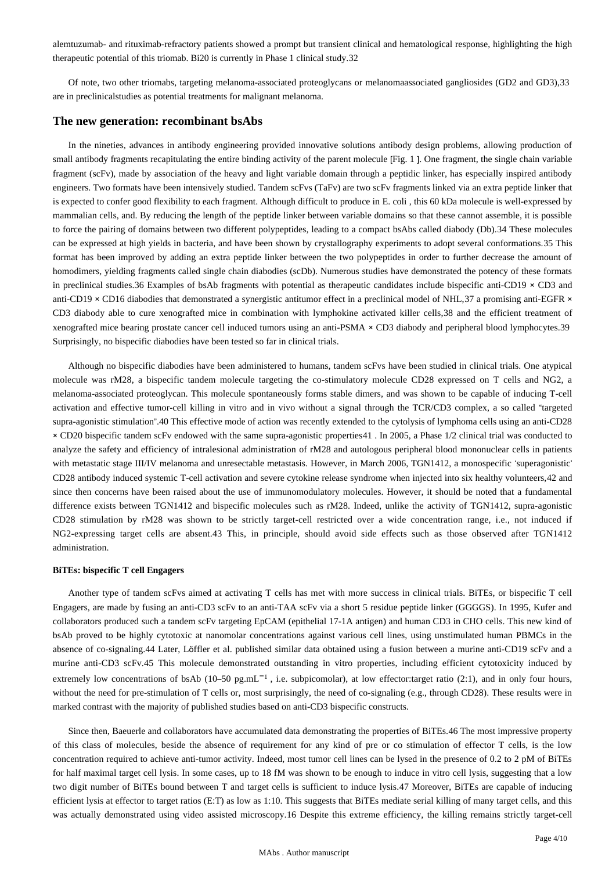alemtuzumab- and rituximab-refractory patients showed a prompt but transient clinical and hematological response, highlighting the high therapeutic potential of this triomab. Bi20 is currently in Phase 1 clinical study.32

Of note, two other triomabs, targeting melanoma-associated proteoglycans or melanomaassociated gangliosides (GD2 and GD3),33 are in preclinicalstudies as potential treatments for malignant melanoma.

### **The new generation: recombinant bsAbs**

In the nineties, advances in antibody engineering provided innovative solutions antibody design problems, allowing production of small antibody fragments recapitulating the entire binding activity of the parent molecule [Fig. 1 ]. One fragment, the single chain variable fragment (scFv), made by association of the heavy and light variable domain through a peptidic linker, has especially inspired antibody engineers. Two formats have been intensively studied. Tandem scFvs (TaFv) are two scFv fragments linked via an extra peptide linker that is expected to confer good flexibility to each fragment. Although difficult to produce in E. coli , this 60 kDa molecule is well-expressed by mammalian cells, and. By reducing the length of the peptide linker between variable domains so that these cannot assemble, it is possible to force the pairing of domains between two different polypeptides, leading to a compact bsAbs called diabody (Db).34 These molecules can be expressed at high yields in bacteria, and have been shown by crystallography experiments to adopt several conformations.35 This format has been improved by adding an extra peptide linker between the two polypeptides in order to further decrease the amount of homodimers, yielding fragments called single chain diabodies (scDb). Numerous studies have demonstrated the potency of these formats in preclinical studies.36 Examples of bsAb fragments with potential as therapeutic candidates include bispecific anti-CD19 × CD3 and anti-CD19 × CD16 diabodies that demonstrated a synergistic antitumor effect in a preclinical model of NHL,37 a promising anti-EGFR × CD3 diabody able to cure xenografted mice in combination with lymphokine activated killer cells,38 and the efficient treatment of xenografted mice bearing prostate cancer cell induced tumors using an anti-PSMA × CD3 diabody and peripheral blood lymphocytes.39 Surprisingly, no bispecific diabodies have been tested so far in clinical trials.

Although no bispecific diabodies have been administered to humans, tandem scFvs have been studied in clinical trials. One atypical molecule was rM28, a bispecific tandem molecule targeting the co-stimulatory molecule CD28 expressed on T cells and NG2, a melanoma-associated proteoglycan. This molecule spontaneously forms stable dimers, and was shown to be capable of inducing T-cell activation and effective tumor-cell killing in vitro and in vivo without a signal through the TCR/CD3 complex, a so called "targeted supra-agonistic stimulation".40 This effective mode of action was recently extended to the cytolysis of lymphoma cells using an anti-CD28 × CD20 bispecific tandem scFv endowed with the same supra-agonistic properties41 . In 2005, a Phase 1/2 clinical trial was conducted to analyze the safety and efficiency of intralesional administration of rM28 and autologous peripheral blood mononuclear cells in patients with metastatic stage III/IV melanoma and unresectable metastasis. However, in March 2006, TGN1412, a monospecific 'superagonistic' CD28 antibody induced systemic T-cell activation and severe cytokine release syndrome when injected into six healthy volunteers,42 and since then concerns have been raised about the use of immunomodulatory molecules. However, it should be noted that a fundamental difference exists between TGN1412 and bispecific molecules such as rM28. Indeed, unlike the activity of TGN1412, supra-agonistic CD28 stimulation by rM28 was shown to be strictly target-cell restricted over a wide concentration range, i.e., not induced if NG2-expressing target cells are absent.43 This, in principle, should avoid side effects such as those observed after TGN1412 administration.

#### **BiTEs: bispecific T cell Engagers**

Another type of tandem scFvs aimed at activating T cells has met with more success in clinical trials. BiTEs, or bispecific T cell Engagers, are made by fusing an anti-CD3 scFv to an anti-TAA scFv via a short 5 residue peptide linker (GGGGS). In 1995, Kufer and collaborators produced such a tandem scFv targeting EpCAM (epithelial 17-1A antigen) and human CD3 in CHO cells. This new kind of bsAb proved to be highly cytotoxic at nanomolar concentrations against various cell lines, using unstimulated human PBMCs in the absence of co-signaling.44 Later, Löffler et al. published similar data obtained using a fusion between a murine anti-CD19 scFv and a murine anti-CD3 scFv.45 This molecule demonstrated outstanding in vitro properties, including efficient cytotoxicity induced by extremely low concentrations of bsAb (10–50 pg.mL<sup>-1</sup>, i.e. subpicomolar), at low effector:target ratio (2:1), and in only four hours, without the need for pre-stimulation of T cells or, most surprisingly, the need of co-signaling (e.g., through CD28). These results were in marked contrast with the majority of published studies based on anti-CD3 bispecific constructs.

Since then, Baeuerle and collaborators have accumulated data demonstrating the properties of BiTEs.46 The most impressive property of this class of molecules, beside the absence of requirement for any kind of pre or co stimulation of effector T cells, is the low concentration required to achieve anti-tumor activity. Indeed, most tumor cell lines can be lysed in the presence of 0.2 to 2 pM of BiTEs for half maximal target cell lysis. In some cases, up to 18 fM was shown to be enough to induce in vitro cell lysis, suggesting that a low two digit number of BiTEs bound between T and target cells is sufficient to induce lysis.47 Moreover, BiTEs are capable of inducing efficient lysis at effector to target ratios (E:T) as low as 1:10. This suggests that BiTEs mediate serial killing of many target cells, and this was actually demonstrated using video assisted microscopy.16 Despite this extreme efficiency, the killing remains strictly target-cell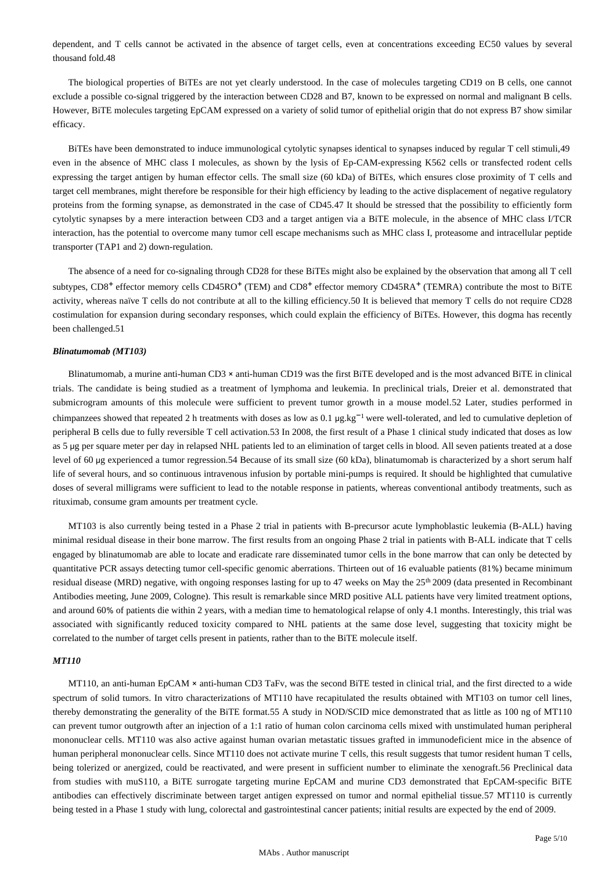dependent, and T cells cannot be activated in the absence of target cells, even at concentrations exceeding EC50 values by several thousand fold.48

The biological properties of BiTEs are not yet clearly understood. In the case of molecules targeting CD19 on B cells, one cannot exclude a possible co-signal triggered by the interaction between CD28 and B7, known to be expressed on normal and malignant B cells. However, BiTE molecules targeting EpCAM expressed on a variety of solid tumor of epithelial origin that do not express B7 show similar efficacy.

BiTEs have been demonstrated to induce immunological cytolytic synapses identical to synapses induced by regular T cell stimuli,49 even in the absence of MHC class I molecules, as shown by the lysis of Ep-CAM-expressing K562 cells or transfected rodent cells expressing the target antigen by human effector cells. The small size (60 kDa) of BiTEs, which ensures close proximity of T cells and target cell membranes, might therefore be responsible for their high efficiency by leading to the active displacement of negative regulatory proteins from the forming synapse, as demonstrated in the case of CD45.47 It should be stressed that the possibility to efficiently form cytolytic synapses by a mere interaction between CD3 and a target antigen via a BiTE molecule, in the absence of MHC class I/TCR interaction, has the potential to overcome many tumor cell escape mechanisms such as MHC class I, proteasome and intracellular peptide transporter (TAP1 and 2) down-regulation.

The absence of a need for co-signaling through CD28 for these BiTEs might also be explained by the observation that among all T cell subtypes,  $CD8<sup>+</sup>$  effector memory cells  $CD45RO<sup>+</sup>$  (TEM) and  $CD8<sup>+</sup>$  effector memory  $CD45RA<sup>+</sup>$  (TEMRA) contribute the most to BiTE activity, whereas naïve T cells do not contribute at all to the killing efficiency.50 It is believed that memory T cells do not require CD28 costimulation for expansion during secondary responses, which could explain the efficiency of BiTEs. However, this dogma has recently been challenged.51

#### *Blinatumomab (MT103)*

Blinatumomab, a murine anti-human CD3 × anti-human CD19 was the first BiTE developed and is the most advanced BiTE in clinical trials. The candidate is being studied as a treatment of lymphoma and leukemia. In preclinical trials, Dreier et al. demonstrated that submicrogram amounts of this molecule were sufficient to prevent tumor growth in a mouse model.52 Later, studies performed in chimpanzees showed that repeated 2 h treatments with doses as low as 0.1 µg.kg<sup>-1</sup> were well-tolerated, and led to cumulative depletion of peripheral B cells due to fully reversible T cell activation.53 In 2008, the first result of a Phase 1 clinical study indicated that doses as low as 5 μg per square meter per day in relapsed NHL patients led to an elimination of target cells in blood. All seven patients treated at a dose level of 60 μg experienced a tumor regression.54 Because of its small size (60 kDa), blinatumomab is characterized by a short serum half life of several hours, and so continuous intravenous infusion by portable mini-pumps is required. It should be highlighted that cumulative doses of several milligrams were sufficient to lead to the notable response in patients, whereas conventional antibody treatments, such as rituximab, consume gram amounts per treatment cycle.

MT103 is also currently being tested in a Phase 2 trial in patients with B-precursor acute lymphoblastic leukemia (B-ALL) having minimal residual disease in their bone marrow. The first results from an ongoing Phase 2 trial in patients with B-ALL indicate that T cells engaged by blinatumomab are able to locate and eradicate rare disseminated tumor cells in the bone marrow that can only be detected by quantitative PCR assays detecting tumor cell-specific genomic aberrations. Thirteen out of 16 evaluable patients (81%) became minimum residual disease (MRD) negative, with ongoing responses lasting for up to 47 weeks on May the 25<sup>th</sup> 2009 (data presented in Recombinant Antibodies meeting, June 2009, Cologne). This result is remarkable since MRD positive ALL patients have very limited treatment options, and around 60% of patients die within 2 years, with a median time to hematological relapse of only 4.1 months. Interestingly, this trial was associated with significantly reduced toxicity compared to NHL patients at the same dose level, suggesting that toxicity might be correlated to the number of target cells present in patients, rather than to the BiTE molecule itself.

#### *MT110*

MT110, an anti-human EpCAM × anti-human CD3 TaFv, was the second BiTE tested in clinical trial, and the first directed to a wide spectrum of solid tumors. In vitro characterizations of MT110 have recapitulated the results obtained with MT103 on tumor cell lines, thereby demonstrating the generality of the BiTE format.55 A study in NOD/SCID mice demonstrated that as little as 100 ng of MT110 can prevent tumor outgrowth after an injection of a 1:1 ratio of human colon carcinoma cells mixed with unstimulated human peripheral mononuclear cells. MT110 was also active against human ovarian metastatic tissues grafted in immunodeficient mice in the absence of human peripheral mononuclear cells. Since MT110 does not activate murine T cells, this result suggests that tumor resident human T cells, being tolerized or anergized, could be reactivated, and were present in sufficient number to eliminate the xenograft.56 Preclinical data from studies with muS110, a BiTE surrogate targeting murine EpCAM and murine CD3 demonstrated that EpCAM-specific BiTE antibodies can effectively discriminate between target antigen expressed on tumor and normal epithelial tissue.57 MT110 is currently being tested in a Phase 1 study with lung, colorectal and gastrointestinal cancer patients; initial results are expected by the end of 2009.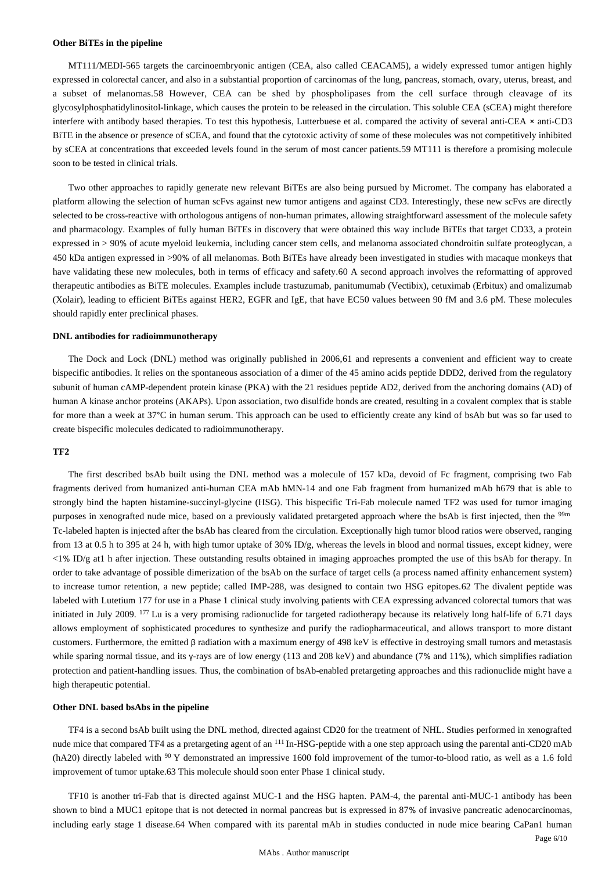#### **Other BiTEs in the pipeline**

MT111/MEDI-565 targets the carcinoembryonic antigen (CEA, also called CEACAM5), a widely expressed tumor antigen highly expressed in colorectal cancer, and also in a substantial proportion of carcinomas of the lung, pancreas, stomach, ovary, uterus, breast, and a subset of melanomas.58 However, CEA can be shed by phospholipases from the cell surface through cleavage of its glycosylphosphatidylinositol-linkage, which causes the protein to be released in the circulation. This soluble CEA (sCEA) might therefore interfere with antibody based therapies. To test this hypothesis, Lutterbuese et al. compared the activity of several anti-CEA × anti-CD3 BiTE in the absence or presence of sCEA, and found that the cytotoxic activity of some of these molecules was not competitively inhibited by sCEA at concentrations that exceeded levels found in the serum of most cancer patients.59 MT111 is therefore a promising molecule soon to be tested in clinical trials.

Two other approaches to rapidly generate new relevant BiTEs are also being pursued by Micromet. The company has elaborated a platform allowing the selection of human scFvs against new tumor antigens and against CD3. Interestingly, these new scFvs are directly selected to be cross-reactive with orthologous antigens of non-human primates, allowing straightforward assessment of the molecule safety and pharmacology. Examples of fully human BiTEs in discovery that were obtained this way include BiTEs that target CD33, a protein expressed in > 90% of acute myeloid leukemia, including cancer stem cells, and melanoma associated chondroitin sulfate proteoglycan, a 450 kDa antigen expressed in >90% of all melanomas. Both BiTEs have already been investigated in studies with macaque monkeys that have validating these new molecules, both in terms of efficacy and safety.60 A second approach involves the reformatting of approved therapeutic antibodies as BiTE molecules. Examples include trastuzumab, panitumumab (Vectibix), cetuximab (Erbitux) and omalizumab (Xolair), leading to efficient BiTEs against HER2, EGFR and IgE, that have EC50 values between 90 fM and 3.6 pM. These molecules should rapidly enter preclinical phases.

#### **DNL antibodies for radioimmunotherapy**

The Dock and Lock (DNL) method was originally published in 2006,61 and represents a convenient and efficient way to create bispecific antibodies. It relies on the spontaneous association of a dimer of the 45 amino acids peptide DDD2, derived from the regulatory subunit of human cAMP-dependent protein kinase (PKA) with the 21 residues peptide AD2, derived from the anchoring domains (AD) of human A kinase anchor proteins (AKAPs). Upon association, two disulfide bonds are created, resulting in a covalent complex that is stable for more than a week at 37°C in human serum. This approach can be used to efficiently create any kind of bsAb but was so far used to create bispecific molecules dedicated to radioimmunotherapy.

#### **TF2**

The first described bsAb built using the DNL method was a molecule of 157 kDa, devoid of Fc fragment, comprising two Fab fragments derived from humanized anti-human CEA mAb hMN-14 and one Fab fragment from humanized mAb h679 that is able to strongly bind the hapten histamine-succinyl-glycine (HSG). This bispecific Tri-Fab molecule named TF2 was used for tumor imaging purposes in xenografted nude mice, based on a previously validated pretargeted approach where the bsAb is first injected, then the <sup>99m</sup> Tc-labeled hapten is injected after the bsAb has cleared from the circulation. Exceptionally high tumor blood ratios were observed, ranging from 13 at 0.5 h to 395 at 24 h, with high tumor uptake of 30% ID/g, whereas the levels in blood and normal tissues, except kidney, were <1% ID/g at1 h after injection. These outstanding results obtained in imaging approaches prompted the use of this bsAb for therapy. In order to take advantage of possible dimerization of the bsAb on the surface of target cells (a process named affinity enhancement system) to increase tumor retention, a new peptide; called IMP-288, was designed to contain two HSG epitopes.62 The divalent peptide was labeled with Lutetium 177 for use in a Phase 1 clinical study involving patients with CEA expressing advanced colorectal tumors that was initiated in July 2009. <sup>177</sup> Lu is a very promising radionuclide for targeted radiotherapy because its relatively long half-life of 6.71 days allows employment of sophisticated procedures to synthesize and purify the radiopharmaceutical, and allows transport to more distant customers. Furthermore, the emitted β radiation with a maximum energy of 498 keV is effective in destroying small tumors and metastasis while sparing normal tissue, and its γ-rays are of low energy (113 and 208 keV) and abundance (7% and 11%), which simplifies radiation protection and patient-handling issues. Thus, the combination of bsAb-enabled pretargeting approaches and this radionuclide might have a high therapeutic potential.

#### **Other DNL based bsAbs in the pipeline**

TF4 is a second bsAb built using the DNL method, directed against CD20 for the treatment of NHL. Studies performed in xenografted nude mice that compared TF4 as a pretargeting agent of an <sup>111</sup> In-HSG-peptide with a one step approach using the parental anti-CD20 mAb (hA20) directly labeled with  $90$  Y demonstrated an impressive 1600 fold improvement of the tumor-to-blood ratio, as well as a 1.6 fold improvement of tumor uptake.63 This molecule should soon enter Phase 1 clinical study.

TF10 is another tri-Fab that is directed against MUC-1 and the HSG hapten. PAM-4, the parental anti-MUC-1 antibody has been shown to bind a MUC1 epitope that is not detected in normal pancreas but is expressed in 87% of invasive pancreatic adenocarcinomas, including early stage 1 disease.64 When compared with its parental mAb in studies conducted in nude mice bearing CaPan1 human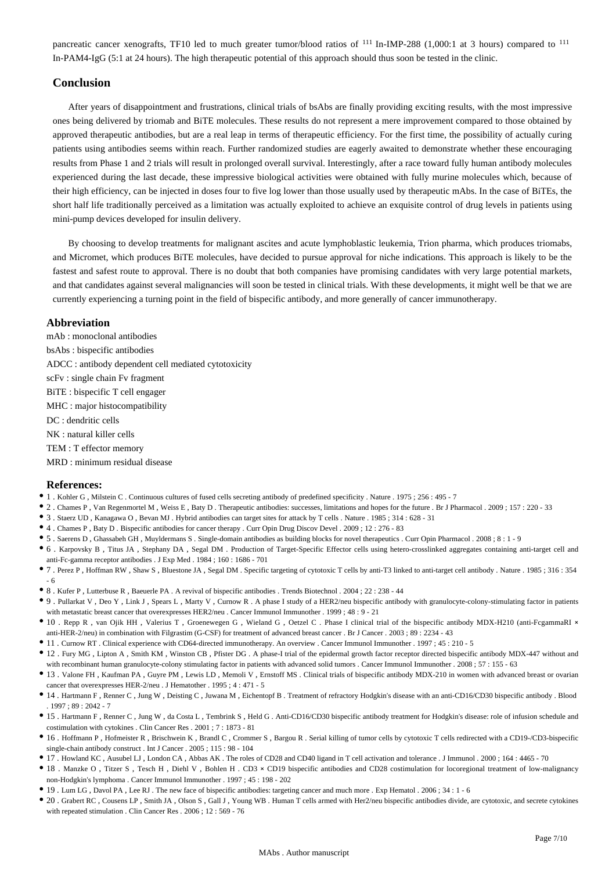pancreatic cancer xenografts, TF10 led to much greater tumor/blood ratios of  $^{111}$  In-IMP-288 (1,000:1 at 3 hours) compared to  $^{111}$ In-PAM4-IgG (5:1 at 24 hours). The high therapeutic potential of this approach should thus soon be tested in the clinic.

# **Conclusion**

After years of disappointment and frustrations, clinical trials of bsAbs are finally providing exciting results, with the most impressive ones being delivered by triomab and BiTE molecules. These results do not represent a mere improvement compared to those obtained by approved therapeutic antibodies, but are a real leap in terms of therapeutic efficiency. For the first time, the possibility of actually curing patients using antibodies seems within reach. Further randomized studies are eagerly awaited to demonstrate whether these encouraging results from Phase 1 and 2 trials will result in prolonged overall survival. Interestingly, after a race toward fully human antibody molecules experienced during the last decade, these impressive biological activities were obtained with fully murine molecules which, because of their high efficiency, can be injected in doses four to five log lower than those usually used by therapeutic mAbs. In the case of BiTEs, the short half life traditionally perceived as a limitation was actually exploited to achieve an exquisite control of drug levels in patients using mini-pump devices developed for insulin delivery.

By choosing to develop treatments for malignant ascites and acute lymphoblastic leukemia, Trion pharma, which produces triomabs, and Micromet, which produces BiTE molecules, have decided to pursue approval for niche indications. This approach is likely to be the fastest and safest route to approval. There is no doubt that both companies have promising candidates with very large potential markets, and that candidates against several malignancies will soon be tested in clinical trials. With these developments, it might well be that we are currently experiencing a turning point in the field of bispecific antibody, and more generally of cancer immunotherapy.

## **Abbreviation**

mAb : monoclonal antibodies bsAbs : bispecific antibodies ADCC : antibody dependent cell mediated cytotoxicity scFv : single chain Fv fragment BiTE : bispecific T cell engager MHC : major histocompatibility DC : dendritic cells NK : natural killer cells TEM : T effector memory MRD : minimum residual disease

#### **References:**

- 1 . Kohler G , Milstein C . Continuous cultures of fused cells secreting antibody of predefined specificity . Nature . 1975 ; 256 : 495 7
- 2 . Chames P , Van Regenmortel M , Weiss E , Baty D . Therapeutic antibodies: successes, limitations and hopes for the future . Br J Pharmacol . 2009 ; 157 : 220 33
- 3 . Staerz UD , Kanagawa O , Bevan MJ . Hybrid antibodies can target sites for attack by T cells . Nature . 1985 ; 314 : 628 31
- 4 . Chames P , Baty D . Bispecific antibodies for cancer therapy . Curr Opin Drug Discov Devel . 2009 ; 12 : 276 83
- 5 . Saerens D , Ghassabeh GH , Muyldermans S . Single-domain antibodies as building blocks for novel therapeutics . Curr Opin Pharmacol . 2008 ; 8 : 1 9
- 6 . Karpovsky B , Titus JA , Stephany DA , Segal DM . Production of Target-Specific Effector cells using hetero-crosslinked aggregates containing anti-target cell and anti-Fc-gamma receptor antibodies . J Exp Med . 1984 ; 160 : 1686 - 701
- 7 . Perez P , Hoffman RW , Shaw S , Bluestone JA , Segal DM . Specific targeting of cytotoxic T cells by anti-T3 linked to anti-target cell antibody . Nature . 1985 ; 316 : 354 - 6
- 8 . Kufer P , Lutterbuse R , Baeuerle PA . A revival of bispecific antibodies . Trends Biotechnol . 2004 ; 22 : 238 44
- 9 . Pullarkat V , Deo Y , Link J , Spears L , Marty V , Curnow R . A phase I study of a HER2/neu bispecific antibody with granulocyte-colony-stimulating factor in patients with metastatic breast cancer that overexpresses HER2/neu . Cancer Immunol Immunother . 1999 ; 48 : 9 - 21
- 10 . Repp R , van Ojik HH , Valerius T , Groenewegen G , Wieland G , Oetzel C . Phase I clinical trial of the bispecific antibody MDX-H210 (anti-FcgammaRI × anti-HER-2/neu) in combination with Filgrastim (G-CSF) for treatment of advanced breast cancer . Br J Cancer . 2003 ; 89 : 2234 - 43
- 11 . Curnow RT . Clinical experience with CD64-directed immunotherapy. An overview . Cancer Immunol Immunother . 1997 ; 45 : 210 5
- 12 . Fury MG , Lipton A , Smith KM , Winston CB , Pfister DG . A phase-I trial of the epidermal growth factor receptor directed bispecific antibody MDX-447 without and with recombinant human granulocyte-colony stimulating factor in patients with advanced solid tumors . Cancer Immunol Immunother . 2008 ; 57 : 155 - 63
- 13 . Valone FH , Kaufman PA , Guyre PM , Lewis LD , Memoli V , Ernstoff MS . Clinical trials of bispecific antibody MDX-210 in women with advanced breast or ovarian cancer that overexpresses HER-2/neu . J Hematother . 1995 ; 4 : 471 - 5
- 14 . Hartmann F , Renner C , Jung W , Deisting C , Juwana M , Eichentopf B . Treatment of refractory Hodgkin's disease with an anti-CD16/CD30 bispecific antibody . Blood  $.1997:89:2042-7$
- 15 . Hartmann F , Renner C , Jung W , da Costa L , Tembrink S , Held G . Anti-CD16/CD30 bispecific antibody treatment for Hodgkin's disease: role of infusion schedule and costimulation with cytokines . Clin Cancer Res . 2001 ; 7 : 1873 - 81
- 16 . Hoffmann P , Hofmeister R , Brischwein K , Brandl C , Crommer S , Bargou R . Serial killing of tumor cells by cytotoxic T cells redirected with a CD19-/CD3-bispecific single-chain antibody construct . Int J Cancer . 2005 ; 115 : 98 - 104
- 17 . Howland KC , Ausubel LJ , London CA , Abbas AK . The roles of CD28 and CD40 ligand in T cell activation and tolerance . J Immunol . 2000 ; 164 : 4465 70
- 18 . Manzke O , Titzer S , Tesch H , Diehl V , Bohlen H . CD3 × CD19 bispecific antibodies and CD28 costimulation for locoregional treatment of low-malignancy non-Hodgkin's lymphoma . Cancer Immunol Immunother . 1997 ; 45 : 198 - 202
- 19 . Lum LG , Davol PA , Lee RJ . The new face of bispecific antibodies: targeting cancer and much more . Exp Hematol . 2006 ; 34 : 1 6
- 20 . Grabert RC , Cousens LP , Smith JA , Olson S , Gall J , Young WB . Human T cells armed with Her2/neu bispecific antibodies divide, are cytotoxic, and secrete cytokines with repeated stimulation . Clin Cancer Res . 2006 : 12 : 569 - 76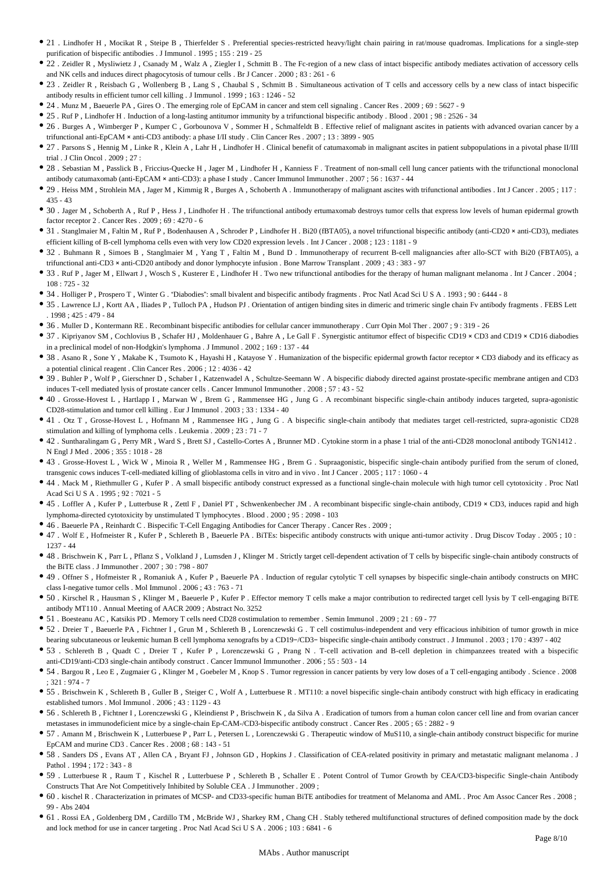- 21 . Lindhofer H , Mocikat R , Steipe B , Thierfelder S . Preferential species-restricted heavy/light chain pairing in rat/mouse quadromas. Implications for a single-step purification of bispecific antibodies . J Immunol . 1995 ; 155 : 219 - 25
- 22 . Zeidler R , Mysliwietz J , Csanady M , Walz A , Ziegler I , Schmitt B . The Fc-region of a new class of intact bispecific antibody mediates activation of accessory cells and NK cells and induces direct phagocytosis of tumour cells . Br J Cancer . 2000 ; 83 : 261 - 6
- 23 . Zeidler R , Reisbach G , Wollenberg B , Lang S , Chaubal S , Schmitt B . Simultaneous activation of T cells and accessory cells by a new class of intact bispecific antibody results in efficient tumor cell killing . J Immunol . 1999 ; 163 : 1246 - 52
- 24 . Munz M , Baeuerle PA , Gires O . The emerging role of EpCAM in cancer and stem cell signaling . Cancer Res . 2009 ; 69 : 5627 9
- 25 . Ruf P , Lindhofer H . Induction of a long-lasting antitumor immunity by a trifunctional bispecific antibody . Blood . 2001 ; 98 : 2526 34
- 26 . Burges A , Wimberger P , Kumper C , Gorbounova V , Sommer H , Schmalfeldt B . Effective relief of malignant ascites in patients with advanced ovarian cancer by a trifunctional anti-EpCAM × anti-CD3 antibody: a phase I/II study . Clin Cancer Res . 2007 ; 13 : 3899 - 905
- 27 . Parsons S , Hennig M , Linke R , Klein A , Lahr H , Lindhofer H . Clinical benefit of catumaxomab in malignant ascites in patient subpopulations in a pivotal phase II/III trial . J Clin Oncol . 2009 ; 27 :
- 28 . Sebastian M , Passlick B , Friccius-Quecke H , Jager M , Lindhofer H , Kanniess F . Treatment of non-small cell lung cancer patients with the trifunctional monoclonal antibody catumaxomab (anti-EpCAM × anti-CD3): a phase I study . Cancer Immunol Immunother . 2007 ; 56 : 1637 - 44
- 29 . Heiss MM , Strohlein MA , Jager M , Kimmig R , Burges A , Schoberth A . Immunotherapy of malignant ascites with trifunctional antibodies . Int J Cancer . 2005 ; 117 : 435 - 43
- 30 . Jager M , Schoberth A , Ruf P , Hess J , Lindhofer H . The trifunctional antibody ertumaxomab destroys tumor cells that express low levels of human epidermal growth factor receptor 2 . Cancer Res . 2009 ; 69 : 4270 - 6
- 31 . Stanglmaier M , Faltin M , Ruf P , Bodenhausen A , Schroder P , Lindhofer H . Bi20 (fBTA05), a novel trifunctional bispecific antibody (anti-CD20 × anti-CD3), mediates efficient killing of B-cell lymphoma cells even with very low CD20 expression levels . Int J Cancer . 2008 ; 123 : 1181 - 9
- 32 . Buhmann R , Simoes B , Stanglmaier M , Yang T , Faltin M , Bund D . Immunotherapy of recurrent B-cell malignancies after allo-SCT with Bi20 (FBTA05), a trifunctional anti-CD3 × anti-CD20 antibody and donor lymphocyte infusion . Bone Marrow Transplant . 2009 ; 43 : 383 - 97
- 33 . Ruf P , Jager M , Ellwart J , Wosch S , Kusterer E , Lindhofer H . Two new trifunctional antibodies for the therapy of human malignant melanoma . Int J Cancer . 2004 ; 108 : 725 - 32
- 34 . Holliger P , Prospero T , Winter G . "Diabodies": small bivalent and bispecific antibody fragments . Proc Natl Acad Sci U S A . 1993 ; 90 : 6444 8
- 35 . Lawrence LJ , Kortt AA , Iliades P , Tulloch PA , Hudson PJ . Orientation of antigen binding sites in dimeric and trimeric single chain Fv antibody fragments . FEBS Lett . 1998 ; 425 : 479 - 84
- 36 . Muller D , Kontermann RE . Recombinant bispecific antibodies for cellular cancer immunotherapy . Curr Opin Mol Ther . 2007 ; 9 : 319 26
- 37 . Kipriyanov SM , Cochlovius B , Schafer HJ , Moldenhauer G , Bahre A , Le Gall F . Synergistic antitumor effect of bispecific CD19 × CD3 and CD19 × CD16 diabodies in a preclinical model of non-Hodgkin's lymphoma . J Immunol . 2002 ; 169 : 137 - 44
- 38 . Asano R , Sone Y , Makabe K , Tsumoto K , Hayashi H , Katayose Y . Humanization of the bispecific epidermal growth factor receptor × CD3 diabody and its efficacy as a potential clinical reagent . Clin Cancer Res . 2006 ; 12 : 4036 - 42
- 39 . Buhler P , Wolf P , Gierschner D , Schaber I , Katzenwadel A , Schultze-Seemann W . A bispecific diabody directed against prostate-specific membrane antigen and CD3 induces T-cell mediated lysis of prostate cancer cells . Cancer Immunol Immunother . 2008 ; 57 : 43 - 52
- 40 . Grosse-Hovest L , Hartlapp I , Marwan W , Brem G , Rammensee HG , Jung G . A recombinant bispecific single-chain antibody induces targeted, supra-agonistic CD28-stimulation and tumor cell killing . Eur J Immunol . 2003 ; 33 : 1334 - 40
- 41 . Otz T , Grosse-Hovest L , Hofmann M , Rammensee HG , Jung G . A bispecific single-chain antibody that mediates target cell-restricted, supra-agonistic CD28 stimulation and killing of lymphoma cells . Leukemia . 2009 ; 23 : 71 - 7
- 42 . Suntharalingam G , Perry MR , Ward S , Brett SJ , Castello-Cortes A , Brunner MD . Cytokine storm in a phase 1 trial of the anti-CD28 monoclonal antibody TGN1412 . N Engl J Med . 2006 ; 355 : 1018 - 28
- 43 . Grosse-Hovest L , Wick W , Minoia R , Weller M , Rammensee HG , Brem G . Supraagonistic, bispecific single-chain antibody purified from the serum of cloned, transgenic cows induces T-cell-mediated killing of glioblastoma cells in vitro and in vivo . Int J Cancer . 2005 ; 117 : 1060 - 4
- 44 . Mack M , Riethmuller G , Kufer P . A small bispecific antibody construct expressed as a functional single-chain molecule with high tumor cell cytotoxicity . Proc Natl Acad Sci U S A . 1995 ; 92 : 7021 - 5
- 45 . Loffler A , Kufer P , Lutterbuse R , Zettl F , Daniel PT , Schwenkenbecher JM . A recombinant bispecific single-chain antibody, CD19 × CD3, induces rapid and high lymphoma-directed cytotoxicity by unstimulated T lymphocytes . Blood . 2000 ; 95 : 2098 - 103
- 46 . Baeuerle PA , Reinhardt C . Bispecific T-Cell Engaging Antibodies for Cancer Therapy . Cancer Res . 2009 ;
- 47 . Wolf E , Hofmeister R , Kufer P , Schlereth B , Baeuerle PA . BiTEs: bispecific antibody constructs with unique anti-tumor activity . Drug Discov Today . 2005 ; 10 : 1237 - 44
- 48 . Brischwein K , Parr L , Pflanz S , Volkland J , Lumsden J , Klinger M . Strictly target cell-dependent activation of T cells by bispecific single-chain antibody constructs of the BiTE class . J Immunother . 2007 ; 30 : 798 - 807
- 49 . Offner S , Hofmeister R , Romaniuk A , Kufer P , Baeuerle PA . Induction of regular cytolytic T cell synapses by bispecific single-chain antibody constructs on MHC class I-negative tumor cells . Mol Immunol .  $2006 \cdot 43 \cdot 763 = 71$
- 50 . Kirschel R , Hausman S , Klinger M , Baeuerle P , Kufer P . Effector memory T cells make a major contribution to redirected target cell lysis by T cell-engaging BiTE antibody MT110 . Annual Meeting of AACR 2009 ; Abstract No. 3252
- 51 . Boesteanu AC , Katsikis PD . Memory T cells need CD28 costimulation to remember . Semin Immunol . 2009 ; 21 : 69 77
- 52 . Dreier T , Baeuerle PA , Fichtner I , Grun M , Schlereth B , Lorenczewski G . T cell costimulus-independent and very efficacious inhibition of tumor growth in mice bearing subcutaneous or leukemic human B cell lymphoma xenografts by a CD19−/CD3− bispecific single-chain antibody construct . J Immunol . 2003 ; 170 : 4397 - 402
- 53 . Schlereth B , Quadt C , Dreier T , Kufer P , Lorenczewski G , Prang N . T-cell activation and B-cell depletion in chimpanzees treated with a bispecific anti-CD19/anti-CD3 single-chain antibody construct . Cancer Immunol Immunother . 2006 ; 55 : 503 - 14
- 54 . Bargou R , Leo E , Zugmaier G , Klinger M , Goebeler M , Knop S . Tumor regression in cancer patients by very low doses of a T cell-engaging antibody . Science . 2008 ; 321 : 974 - 7
- 55 . Brischwein K , Schlereth B , Guller B , Steiger C , Wolf A , Lutterbuese R . MT110: a novel bispecific single-chain antibody construct with high efficacy in eradicating established tumors . Mol Immunol . 2006 ; 43 : 1129 - 43
- 56 . Schlereth B , Fichtner I , Lorenczewski G , Kleindienst P , Brischwein K , da Silva A . Eradication of tumors from a human colon cancer cell line and from ovarian cancer metastases in immunodeficient mice by a single-chain Ep-CAM-/CD3-bispecific antibody construct . Cancer Res . 2005 ; 65 : 2882 - 9
- 57 . Amann M , Brischwein K , Lutterbuese P , Parr L , Petersen L , Lorenczewski G . Therapeutic window of MuS110, a single-chain antibody construct bispecific for murine EpCAM and murine CD3 . Cancer Res . 2008 ; 68 : 143 - 51
- 58 . Sanders DS , Evans AT , Allen CA , Bryant FJ , Johnson GD , Hopkins J . Classification of CEA-related positivity in primary and metastatic malignant melanoma . J Pathol . 1994 ; 172 : 343 - 8
- 59 . Lutterbuese R , Raum T , Kischel R , Lutterbuese P , Schlereth B , Schaller E . Potent Control of Tumor Growth by CEA/CD3-bispecific Single-chain Antibody Constructs That Are Not Competitively Inhibited by Soluble CEA . J Immunother . 2009 ;
- 60 . kischel R . Characterization in primates of MCSP- and CD33-specific human BiTE antibodies for treatment of Melanoma and AML . Proc Am Assoc Cancer Res . 2008 ; 99 - Abs 2404
- 61 . Rossi EA , Goldenberg DM , Cardillo TM , McBride WJ , Sharkey RM , Chang CH . Stably tethered multifunctional structures of defined composition made by the dock and lock method for use in cancer targeting . Proc Natl Acad Sci U S A . 2006 ; 103 : 6841 - 6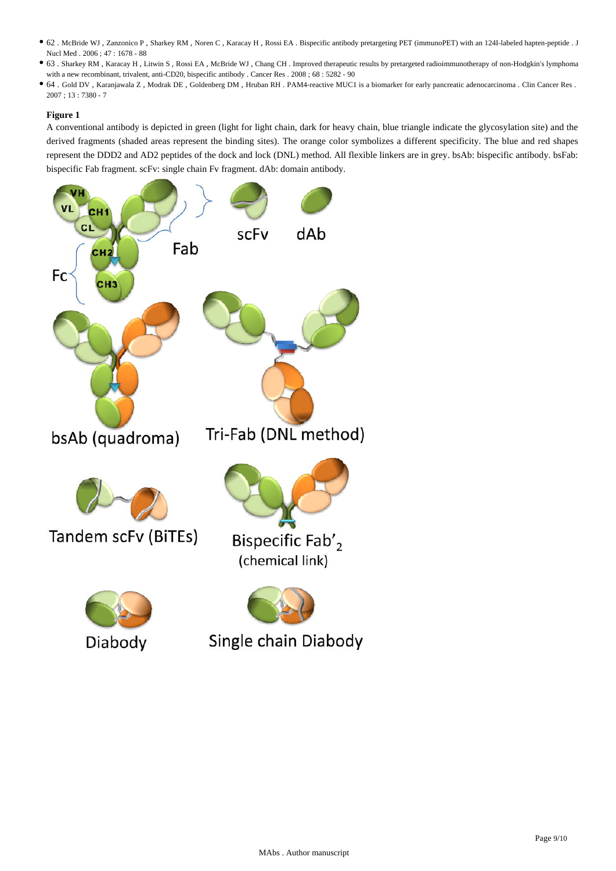- 62 . McBride WJ , Zanzonico P , Sharkey RM , Noren C , Karacay H , Rossi EA . Bispecific antibody pretargeting PET (immunoPET) with an 124I-labeled hapten-peptide . J Nucl Med . 2006 ; 47 : 1678 - 88
- 63 . Sharkey RM , Karacay H , Litwin S , Rossi EA , McBride WJ , Chang CH . Improved therapeutic results by pretargeted radioimmunotherapy of non-Hodgkin's lymphoma with a new recombinant, trivalent, anti-CD20, bispecific antibody . Cancer Res . 2008 ; 68 : 5282 - 90
- 64 . Gold DV , Karanjawala Z , Modrak DE , Goldenberg DM , Hruban RH . PAM4-reactive MUC1 is a biomarker for early pancreatic adenocarcinoma . Clin Cancer Res . 2007 ; 13 : 7380 - 7

# **Figure 1**

A conventional antibody is depicted in green (light for light chain, dark for heavy chain, blue triangle indicate the glycosylation site) and the derived fragments (shaded areas represent the binding sites). The orange color symbolizes a different specificity. The blue and red shapes represent the DDD2 and AD2 peptides of the dock and lock (DNL) method. All flexible linkers are in grey. bsAb: bispecific antibody. bsFab: bispecific Fab fragment. scFv: single chain Fv fragment. dAb: domain antibody.